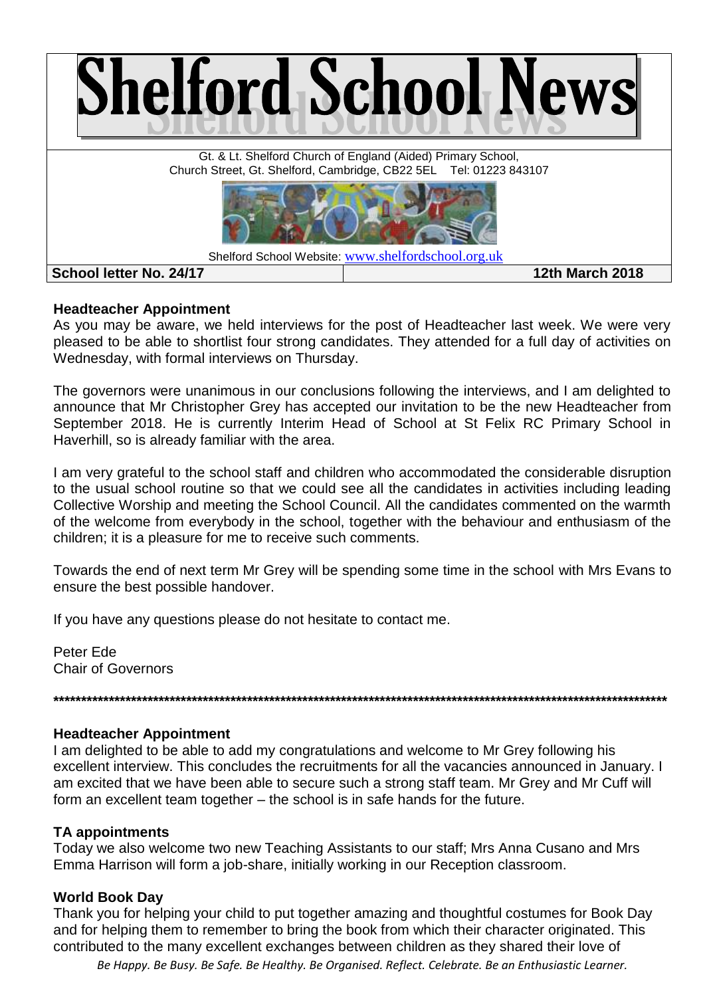

# **Headteacher Appointment**

As you may be aware, we held interviews for the post of Headteacher last week. We were very pleased to be able to shortlist four strong candidates. They attended for a full day of activities on Wednesday, with formal interviews on Thursday.

The governors were unanimous in our conclusions following the interviews, and I am delighted to announce that Mr Christopher Grey has accepted our invitation to be the new Headteacher from September 2018. He is currently Interim Head of School at St Felix RC Primary School in Haverhill, so is already familiar with the area.

I am very grateful to the school staff and children who accommodated the considerable disruption to the usual school routine so that we could see all the candidates in activities including leading Collective Worship and meeting the School Council. All the candidates commented on the warmth of the welcome from everybody in the school, together with the behaviour and enthusiasm of the children; it is a pleasure for me to receive such comments.

Towards the end of next term Mr Grey will be spending some time in the school with Mrs Evans to ensure the best possible handover.

If you have any questions please do not hesitate to contact me.

Peter Ede Chair of Governors

# **Headteacher Appointment**

I am delighted to be able to add my congratulations and welcome to Mr Grey following his excellent interview. This concludes the recruitments for all the vacancies announced in January. I am excited that we have been able to secure such a strong staff team. Mr Grey and Mr Cuff will form an excellent team together – the school is in safe hands for the future.

**\*\*\*\*\*\*\*\*\*\*\*\*\*\*\*\*\*\*\*\*\*\*\*\*\*\*\*\*\*\*\*\*\*\*\*\*\*\*\*\*\*\*\*\*\*\*\*\*\*\*\*\*\*\*\*\*\*\*\*\*\*\*\*\*\*\*\*\*\*\*\*\*\*\*\*\*\*\*\*\*\*\*\*\*\*\*\*\*\*\*\*\*\*\*\*\*\*\*\*\*\*\*\*\*\*\*\*\*\*\*\***

# **TA appointments**

Today we also welcome two new Teaching Assistants to our staff; Mrs Anna Cusano and Mrs Emma Harrison will form a job-share, initially working in our Reception classroom.

# **World Book Day**

Thank you for helping your child to put together amazing and thoughtful costumes for Book Day and for helping them to remember to bring the book from which their character originated. This contributed to the many excellent exchanges between children as they shared their love of

*Be Happy. Be Busy. Be Safe. Be Healthy. Be Organised. Reflect. Celebrate. Be an Enthusiastic Learner.*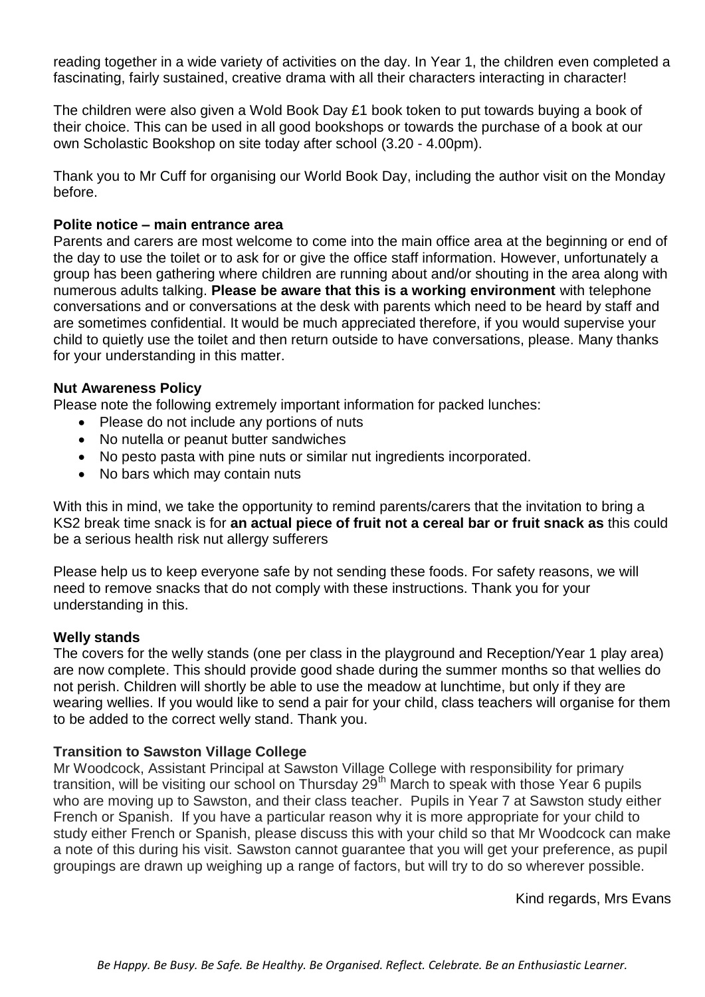reading together in a wide variety of activities on the day. In Year 1, the children even completed a fascinating, fairly sustained, creative drama with all their characters interacting in character!

The children were also given a Wold Book Day £1 book token to put towards buying a book of their choice. This can be used in all good bookshops or towards the purchase of a book at our own Scholastic Bookshop on site today after school (3.20 - 4.00pm).

Thank you to Mr Cuff for organising our World Book Day, including the author visit on the Monday before.

#### **Polite notice – main entrance area**

Parents and carers are most welcome to come into the main office area at the beginning or end of the day to use the toilet or to ask for or give the office staff information. However, unfortunately a group has been gathering where children are running about and/or shouting in the area along with numerous adults talking. **Please be aware that this is a working environment** with telephone conversations and or conversations at the desk with parents which need to be heard by staff and are sometimes confidential. It would be much appreciated therefore, if you would supervise your child to quietly use the toilet and then return outside to have conversations, please. Many thanks for your understanding in this matter.

# **Nut Awareness Policy**

Please note the following extremely important information for packed lunches:

- Please do not include any portions of nuts
- No nutella or peanut butter sandwiches
- No pesto pasta with pine nuts or similar nut ingredients incorporated.
- No bars which may contain nuts

With this in mind, we take the opportunity to remind parents/carers that the invitation to bring a KS2 break time snack is for **an actual piece of fruit not a cereal bar or fruit snack as** this could be a serious health risk nut allergy sufferers

Please help us to keep everyone safe by not sending these foods. For safety reasons, we will need to remove snacks that do not comply with these instructions. Thank you for your understanding in this.

#### **Welly stands**

The covers for the welly stands (one per class in the playground and Reception/Year 1 play area) are now complete. This should provide good shade during the summer months so that wellies do not perish. Children will shortly be able to use the meadow at lunchtime, but only if they are wearing wellies. If you would like to send a pair for your child, class teachers will organise for them to be added to the correct welly stand. Thank you.

# **Transition to Sawston Village College**

Mr Woodcock, Assistant Principal at Sawston Village College with responsibility for primary transition, will be visiting our school on Thursday 29<sup>th</sup> March to speak with those Year 6 pupils who are moving up to Sawston, and their class teacher. Pupils in Year 7 at Sawston study either French or Spanish. If you have a particular reason why it is more appropriate for your child to study either French or Spanish, please discuss this with your child so that Mr Woodcock can make a note of this during his visit. Sawston cannot guarantee that you will get your preference, as pupil groupings are drawn up weighing up a range of factors, but will try to do so wherever possible.

Kind regards, Mrs Evans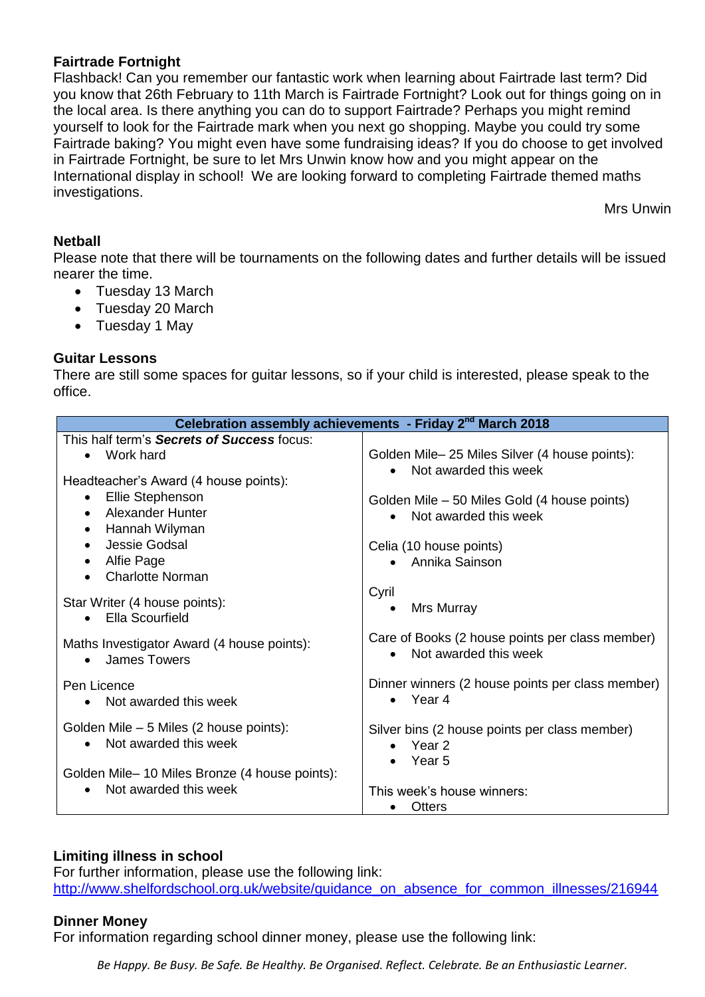# **Fairtrade Fortnight**

Flashback! Can you remember our fantastic work when learning about Fairtrade last term? Did you know that 26th February to 11th March is Fairtrade Fortnight? Look out for things going on in the local area. Is there anything you can do to support Fairtrade? Perhaps you might remind yourself to look for the Fairtrade mark when you next go shopping. Maybe you could try some Fairtrade baking? You might even have some fundraising ideas? If you do choose to get involved in Fairtrade Fortnight, be sure to let Mrs Unwin know how and you might appear on the International display in school! We are looking forward to completing Fairtrade themed maths investigations.

Mrs Unwin

#### **Netball**

Please note that there will be tournaments on the following dates and further details will be issued nearer the time.

- Tuesday 13 March
- Tuesday 20 March
- Tuesday 1 May

#### **Guitar Lessons**

There are still some spaces for guitar lessons, so if your child is interested, please speak to the office.

| Celebration assembly achievements - Friday 2 <sup>nd</sup> March 2018            |                                                                          |  |  |
|----------------------------------------------------------------------------------|--------------------------------------------------------------------------|--|--|
| This half term's <b>Secrets of Success</b> focus:<br>Work hard                   | Golden Mile- 25 Miles Silver (4 house points):                           |  |  |
| Headteacher's Award (4 house points):<br>Ellie Stephenson                        | Not awarded this week<br>Golden Mile - 50 Miles Gold (4 house points)    |  |  |
| Alexander Hunter<br>$\bullet$<br>Hannah Wilyman<br>$\bullet$                     | Not awarded this week                                                    |  |  |
| Jessie Godsal<br>$\bullet$<br>Alfie Page<br>$\bullet$<br><b>Charlotte Norman</b> | Celia (10 house points)<br>• Annika Sainson                              |  |  |
| Star Writer (4 house points):<br>Ella Scourfield<br>$\bullet$                    | Cyril<br>Mrs Murray<br>$\bullet$                                         |  |  |
| Maths Investigator Award (4 house points):<br><b>James Towers</b><br>$\bullet$   | Care of Books (2 house points per class member)<br>Not awarded this week |  |  |
| Pen Licence<br>Not awarded this week                                             | Dinner winners (2 house points per class member)<br>Year 4<br>$\bullet$  |  |  |
| Golden Mile – 5 Miles (2 house points):<br>Not awarded this week                 | Silver bins (2 house points per class member)<br>Year 2<br>$\bullet$     |  |  |
| Golden Mile-10 Miles Bronze (4 house points):<br>Not awarded this week           | Year 5<br>This week's house winners:<br>Otters                           |  |  |

# **Limiting illness in school**

For further information, please use the following link: [http://www.shelfordschool.org.uk/website/guidance\\_on\\_absence\\_for\\_common\\_illnesses/216944](http://www.shelfordschool.org.uk/website/guidance_on_absence_for_common_illnesses/216944)

#### **Dinner Money**

For information regarding school dinner money, please use the following link:

*Be Happy. Be Busy. Be Safe. Be Healthy. Be Organised. Reflect. Celebrate. Be an Enthusiastic Learner.*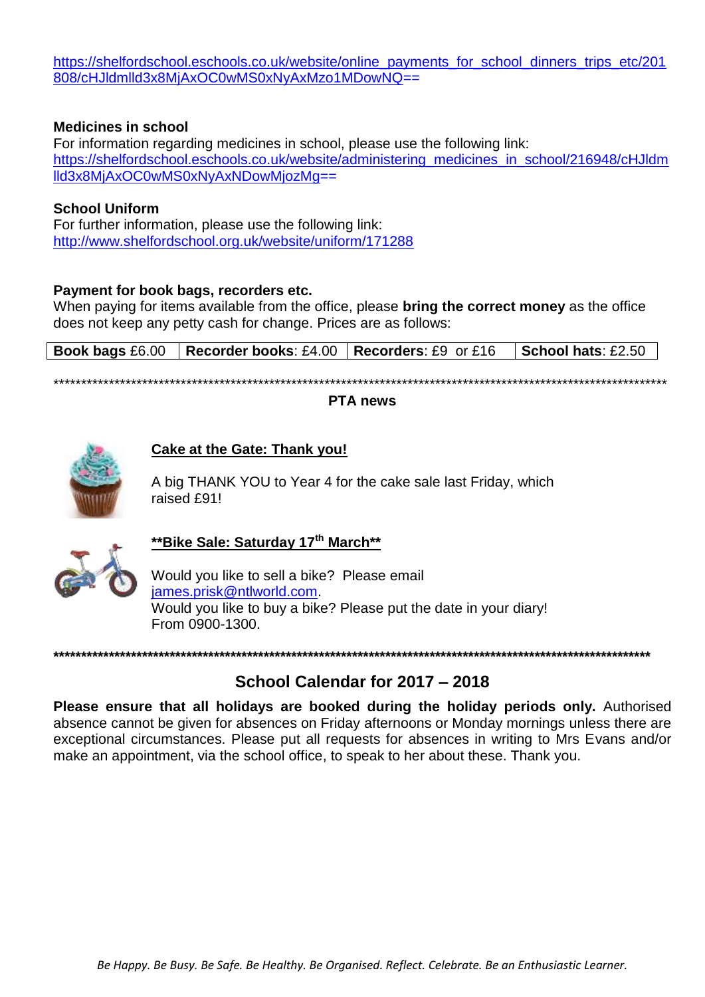[https://shelfordschool.eschools.co.uk/website/online\\_payments\\_for\\_school\\_dinners\\_trips\\_etc/201](https://shelfordschool.eschools.co.uk/website/online_payments_for_school_dinners_trips_etc/201808/cHJldmlld3x8MjAxOC0wMS0xNyAxMzo1MDowNQ) [808/cHJldmlld3x8MjAxOC0wMS0xNyAxMzo1MDowNQ=](https://shelfordschool.eschools.co.uk/website/online_payments_for_school_dinners_trips_etc/201808/cHJldmlld3x8MjAxOC0wMS0xNyAxMzo1MDowNQ)=

#### **Medicines in school**

For information regarding medicines in school, please use the following link: [https://shelfordschool.eschools.co.uk/website/administering\\_medicines\\_in\\_school/216948/cHJldm](https://shelfordschool.eschools.co.uk/website/administering_medicines_in_school/216948/cHJldmlld3x8MjAxOC0wMS0xNyAxNDowMjozMg) [lld3x8MjAxOC0wMS0xNyAxNDowMjozMg=](https://shelfordschool.eschools.co.uk/website/administering_medicines_in_school/216948/cHJldmlld3x8MjAxOC0wMS0xNyAxNDowMjozMg)=

#### **School Uniform**

For further information, please use the following link: <http://www.shelfordschool.org.uk/website/uniform/171288>

#### **Payment for book bags, recorders etc.**

When paying for items available from the office, please **bring the correct money** as the office does not keep any petty cash for change. Prices are as follows:

|  | <b>Book bags</b> £6.00   Recorder books: £4.00   Recorders: £9 or £16   School hats: £2.50 |  |
|--|--------------------------------------------------------------------------------------------|--|
|  |                                                                                            |  |

\*\*\*\*\*\*\*\*\*\*\*\*\*\*\*\*\*\*\*\*\*\*\*\*\*\*\*\*\*\*\*\*\*\*\*\*\*\*\*\*\*\*\*\*\*\*\*\*\*\*\*\*\*\*\*\*\*\*\*\*\*\*\*\*\*\*\*\*\*\*\*\*\*\*\*\*\*\*\*\*\*\*\*\*\*\*\*\*\*\*\*\*\*\*\*\*\*\*\*\*\*\*\*\*\*\*\*\*\*\*\*

#### **PTA news**



#### **Cake at the Gate: Thank you!**

A big THANK YOU to Year 4 for the cake sale last Friday, which raised £91!



# **\*\*Bike Sale: Saturday 17th March\*\***

Would you like to sell a bike? Please email [james.prisk@ntlworld.com.](mailto:james.prisk@ntlworld.com) Would you like to buy a bike? Please put the date in your diary! From 0900-1300.

#### **\*\*\*\*\*\*\*\*\*\*\*\*\*\*\*\*\*\*\*\*\*\*\*\*\*\*\*\*\*\*\*\*\*\*\*\*\*\*\*\*\*\*\*\*\*\*\*\*\*\*\*\*\*\*\*\*\*\*\*\*\*\*\*\*\*\*\*\*\*\*\*\*\*\*\*\*\*\*\*\*\*\*\*\*\*\*\*\*\*\*\*\*\*\*\*\*\*\*\*\*\*\*\*\*\*\*\*\***

# **School Calendar for 2017 – 2018**

**Please ensure that all holidays are booked during the holiday periods only.** Authorised absence cannot be given for absences on Friday afternoons or Monday mornings unless there are exceptional circumstances. Please put all requests for absences in writing to Mrs Evans and/or make an appointment, via the school office, to speak to her about these. Thank you.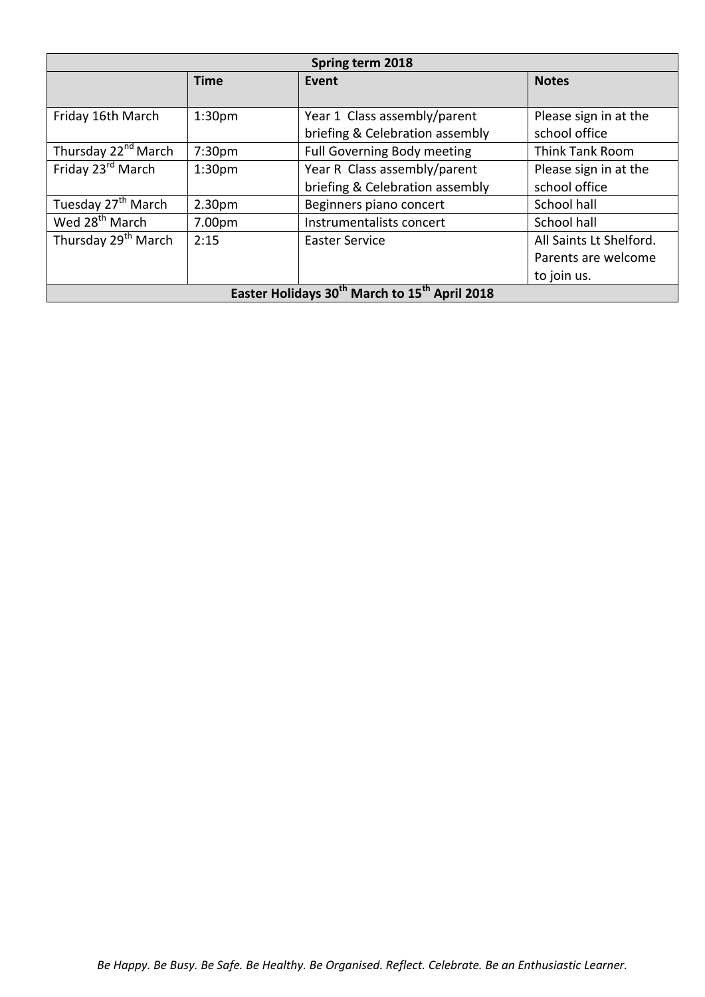| Spring term 2018                                                      |                    |                                    |                         |
|-----------------------------------------------------------------------|--------------------|------------------------------------|-------------------------|
|                                                                       | <b>Time</b>        | <b>Event</b>                       | <b>Notes</b>            |
|                                                                       |                    |                                    |                         |
| Friday 16th March                                                     | 1:30 <sub>pm</sub> | Year 1 Class assembly/parent       | Please sign in at the   |
|                                                                       |                    | briefing & Celebration assembly    | school office           |
| Thursday 22 <sup>nd</sup> March                                       | 7:30 <sub>pm</sub> | <b>Full Governing Body meeting</b> | Think Tank Room         |
| Friday 23 <sup>rd</sup> March                                         | 1:30 <sub>pm</sub> | Year R Class assembly/parent       | Please sign in at the   |
|                                                                       |                    | briefing & Celebration assembly    | school office           |
| Tuesday 27 <sup>th</sup> March                                        | 2.30 <sub>pm</sub> | Beginners piano concert            | School hall             |
| Wed 28 <sup>th</sup> March                                            | 7.00pm             | Instrumentalists concert           | School hall             |
| Thursday 29 <sup>th</sup> March                                       | 2:15               | <b>Easter Service</b>              | All Saints Lt Shelford. |
|                                                                       |                    |                                    | Parents are welcome     |
|                                                                       |                    |                                    | to join us.             |
| Easter Holidays 30 <sup>th</sup> March to 15 <sup>th</sup> April 2018 |                    |                                    |                         |